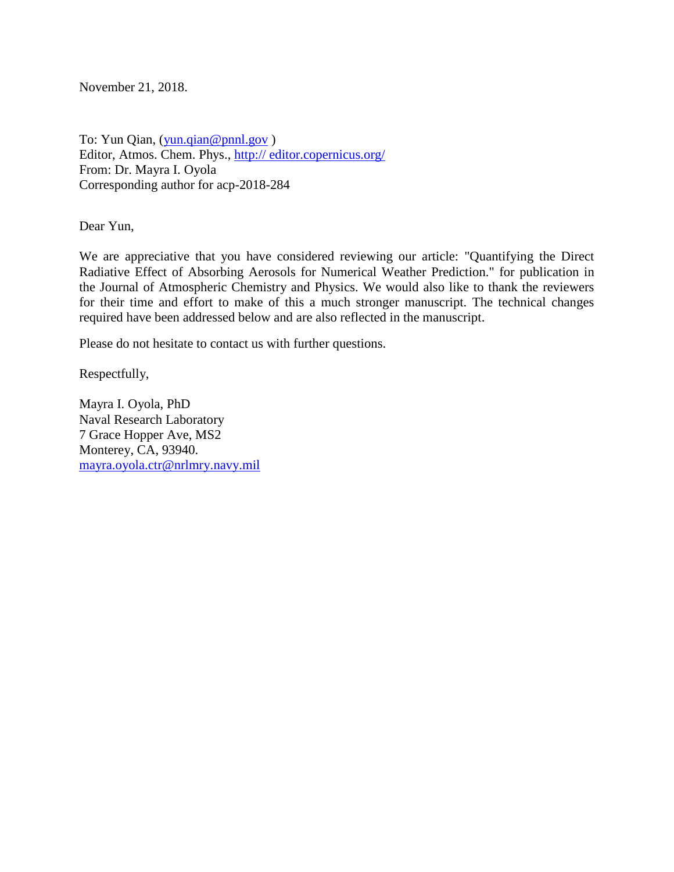November 21, 2018.

To: Yun Qian, [\(yun.qian@pnnl.gov](mailto:yun.qian@pnnl.gov)) Editor, Atmos. Chem. Phys., http:// editor.copernicus.org/ From: Dr. Mayra I. Oyola Corresponding author for acp-2018-284

Dear Yun,

We are appreciative that you have considered reviewing our article: "Quantifying the Direct Radiative Effect of Absorbing Aerosols for Numerical Weather Prediction." for publication in the Journal of Atmospheric Chemistry and Physics. We would also like to thank the reviewers for their time and effort to make of this a much stronger manuscript. The technical changes required have been addressed below and are also reflected in the manuscript.

Please do not hesitate to contact us with further questions.

Respectfully,

Mayra I. Oyola, PhD Naval Research Laboratory 7 Grace Hopper Ave, MS2 Monterey, CA, 93940. [mayra.oyola.ctr@nrlmry.navy.mil](mailto:mayra.oyola.ctr@nrlmry.navy.mil)